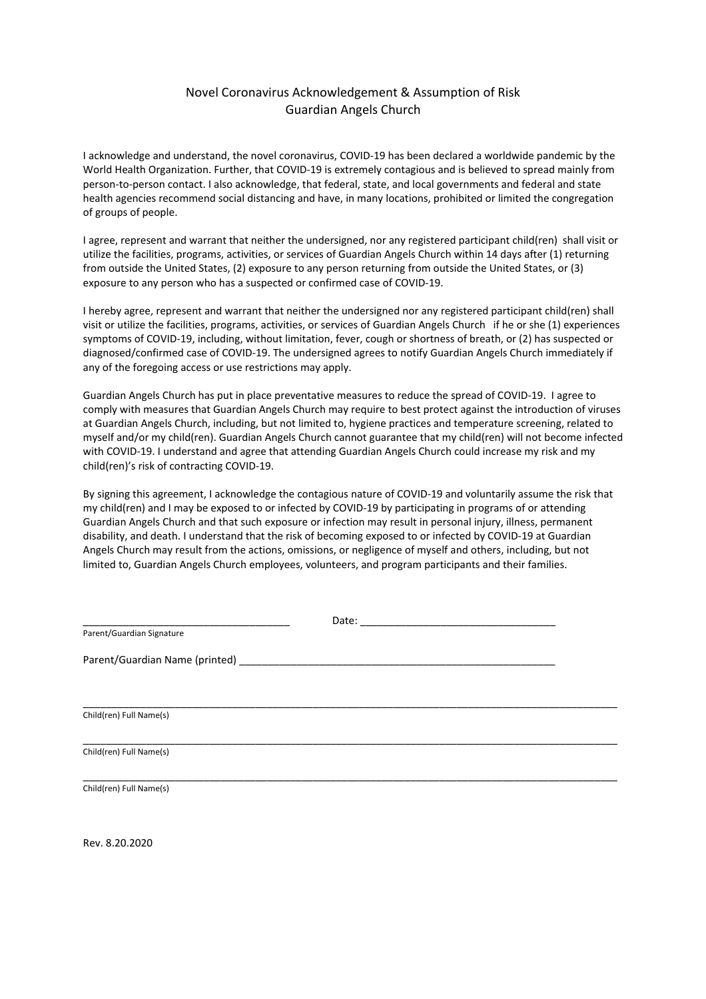# Novel Coronavirus Acknowledgement & Assumption of Risk Guardian Angels Church

I acknowledge and understand, the novel coronavirus, COVID‐19 has been declared a worldwide pandemic by the World Health Organization. Further, that COVID-19 is extremely contagious and is believed to spread mainly from person‐to‐person contact. I also acknowledge, that federal, state, and local governments and federal and state health agencies recommend social distancing and have, in many locations, prohibited or limited the congregation of groups of people.

I agree, represent and warrant that neither the undersigned, nor any registered participant child(ren) shall visit or utilize the facilities, programs, activities, or services of Guardian Angels Church within 14 days after (1) returning from outside the United States, (2) exposure to any person returning from outside the United States, or (3) exposure to any person who has a suspected or confirmed case of COVID‐19.

I hereby agree, represent and warrant that neither the undersigned nor any registered participant child(ren) shall visit or utilize the facilities, programs, activities, or services of Guardian Angels Church if he or she (1) experiences symptoms of COVID‐19, including, without limitation, fever, cough or shortness of breath, or (2) has suspected or diagnosed/confirmed case of COVID‐19. The undersigned agrees to notify Guardian Angels Church immediately if any of the foregoing access or use restrictions may apply.

Guardian Angels Church has put in place preventative measures to reduce the spread of COVID‐19. I agree to comply with measures that Guardian Angels Church may require to best protect against the introduction of viruses at Guardian Angels Church, including, but not limited to, hygiene practices and temperature screening, related to myself and/or my child(ren). Guardian Angels Church cannot guarantee that my child(ren) will not become infected with COVID‐19. I understand and agree that attending Guardian Angels Church could increase my risk and my child(ren)'s risk of contracting COVID‐19.

By signing this agreement, I acknowledge the contagious nature of COVID‐19 and voluntarily assume the risk that my child(ren) and I may be exposed to or infected by COVID‐19 by participating in programs of or attending Guardian Angels Church and that such exposure or infection may result in personal injury, illness, permanent disability, and death. I understand that the risk of becoming exposed to or infected by COVID‐19 at Guardian Angels Church may result from the actions, omissions, or negligence of myself and others, including, but not limited to, Guardian Angels Church employees, volunteers, and program participants and their families.

|                           | Date: |  |
|---------------------------|-------|--|
| Parent/Guardian Signature |       |  |
|                           |       |  |
|                           |       |  |
| Child(ren) Full Name(s)   |       |  |
| Child(ren) Full Name(s)   |       |  |
| Child(ren) Full Name(s)   |       |  |

Rev. 8.20.2020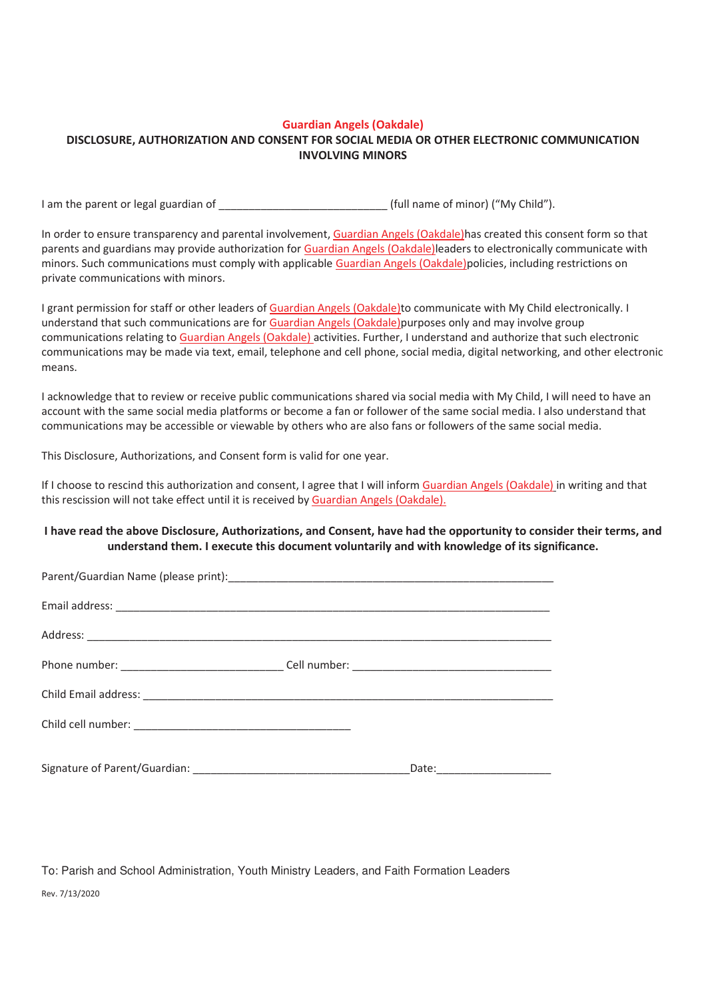### Guardian Angels (Oakdale)

### DISCLOSURE, AUTHORIZATION AND CONSENT FOR SOCIAL MEDIA OR OTHER ELECTRONIC COMMUNICATION INVOLVING MINORS

I am the parent or legal guardian of and the same of minor ("My Child").

In order to ensure transparency and parental involvement, Guardian Angels (Oakdale)has created this consent form so that parents and guardians may provide authorization for Guardian Angels (Oakdale) leaders to electronically communicate with minors. Such communications must comply with applicable Guardian Angels (Oakdale)policies, including restrictions on private communications with minors.

I grant permission for staff or other leaders of Guardian Angels (Oakdale)to communicate with My Child electronically. I understand that such communications are for Guardian Angels (Oakdale) purposes only and may involve group communications relating to Guardian Angels (Oakdale) activities. Further, I understand and authorize that such electronic communications may be made via text, email, telephone and cell phone, social media, digital networking, and other electronic means.

I acknowledge that to review or receive public communications shared via social media with My Child, I will need to have an account with the same social media platforms or become a fan or follower of the same social media. I also understand that communications may be accessible or viewable by others who are also fans or followers of the same social media.

This Disclosure, Authorizations, and Consent form is valid for one year.

If I choose to rescind this authorization and consent, I agree that I will inform Guardian Angels (Oakdale) in writing and that this rescission will not take effect until it is received by Guardian Angels (Oakdale).

## I have read the above Disclosure, Authorizations, and Consent, have had the opportunity to consider their terms, and understand them. I execute this document voluntarily and with knowledge of its significance.

|  | Date:________________________ |
|--|-------------------------------|

To: Parish and School Administration, Youth Ministry Leaders, and Faith Formation Leaders

Rev. 7/13/2020